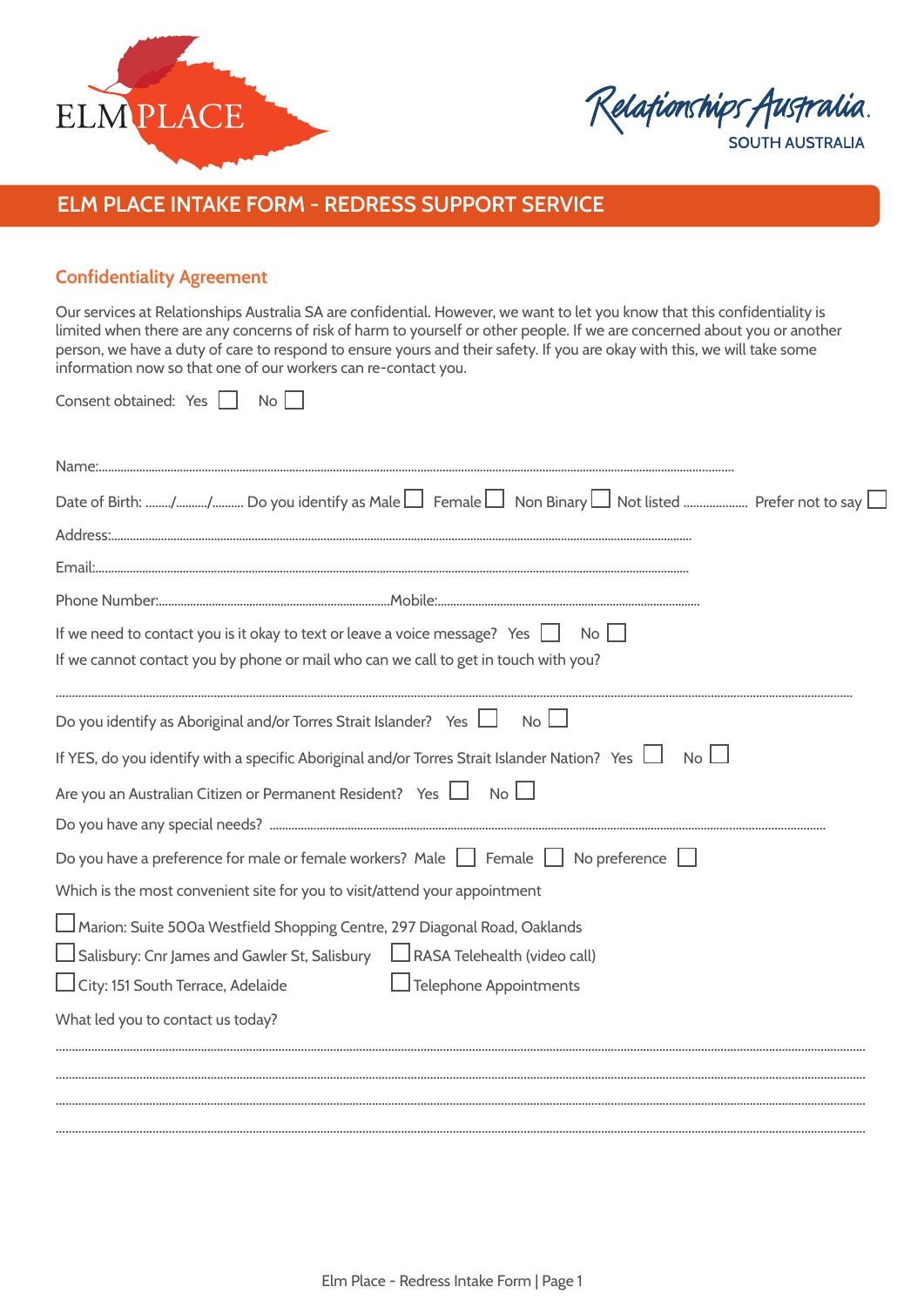

Relationships Australia. **SOUTH AUSTRALIA** 

**ELM PLACE INTAKE FORM - REDRESS SUPPORT SERVICE** 

## **Confidentiality Agreement**

Our services at Relationships Australia SA are confidential. However, we want to let you know that this confidentiality is limited when there are any concerns of risk of harm to yourself or other people. If we are concerned about you or another person, we have a duty of care to respond to ensure yours and their safety. If you are okay with this, we will take some information now so that one of our workers can re-contact you.

Consent obtained: Yes  $\Box$  No  $\Box$ 

| If we need to contact you is it okay to text or leave a voice message? Yes $\Box$ No $\Box$                   |
|---------------------------------------------------------------------------------------------------------------|
| If we cannot contact you by phone or mail who can we call to get in touch with you?                           |
| Do you identify as Aboriginal and/or Torres Strait Islander? Yes $\Box$<br>No <sub>l</sub>                    |
| If YES, do you identify with a specific Aboriginal and/or Torres Strait Islander Nation? Yes $\Box$ No $\Box$ |
| Are you an Australian Citizen or Permanent Resident? Yes $\Box$ No $\Box$                                     |
|                                                                                                               |
| Do you have a preference for male or female workers? Male $\Box$ Female $\Box$ No preference $\Box$           |
| Which is the most convenient site for you to visit/attend your appointment                                    |
| Marion: Suite 500a Westfield Shopping Centre, 297 Diagonal Road, Oaklands                                     |
| Salisbury: Cnr James and Gawler St, Salisbury LASA Telehealth (video call)                                    |
| City: 151 South Terrace, Adelaide<br>$\Box$ Telephone Appointments                                            |
| What led you to contact us today?                                                                             |
|                                                                                                               |
|                                                                                                               |
|                                                                                                               |
|                                                                                                               |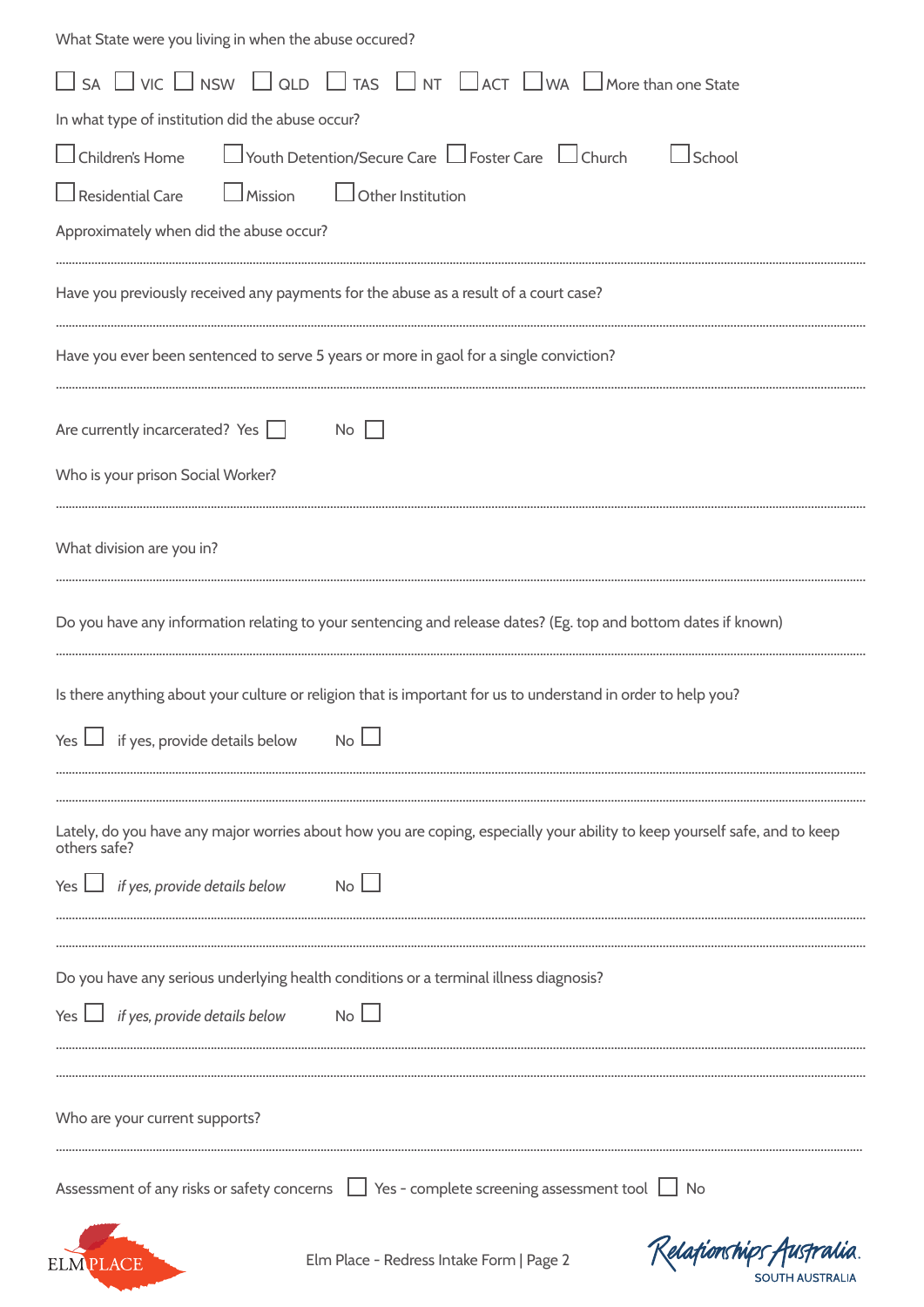| What State were you living in when the abuse occured?                                                                                      |
|--------------------------------------------------------------------------------------------------------------------------------------------|
| $\Box$ SA $\Box$ VIC $\Box$ NSW $\Box$ QLD $\Box$ TAS $\Box$ NT $\Box$ ACT $\Box$ WA $\Box$ More than one State                            |
| In what type of institution did the abuse occur?                                                                                           |
| □ Youth Detention/Secure Care □ Foster Care □ Church<br>$\Box$ Children's Home<br>$\Box$ School                                            |
| $\Box$ Mission $\Box$ Other Institution<br>$\Box$ Residential Care                                                                         |
| Approximately when did the abuse occur?                                                                                                    |
| Have you previously received any payments for the abuse as a result of a court case?                                                       |
| Have you ever been sentenced to serve 5 years or more in gaol for a single conviction?                                                     |
| Are currently incarcerated? Yes $\Box$<br>No                                                                                               |
| Who is your prison Social Worker?                                                                                                          |
| What division are you in?                                                                                                                  |
| Do you have any information relating to your sentencing and release dates? (Eg. top and bottom dates if known)                             |
| Is there anything about your culture or religion that is important for us to understand in order to help you?                              |
| if yes, provide details below<br>No<br>Yes                                                                                                 |
|                                                                                                                                            |
| Lately, do you have any major worries about how you are coping, especially your ability to keep yourself safe, and to keep<br>others safe? |
| N <sub>0</sub><br>Yes $\Box$ if yes, provide details below                                                                                 |
| Do you have any serious underlying health conditions or a terminal illness diagnosis?                                                      |
| Yes $\Box$ if yes, provide details below<br>No L                                                                                           |
|                                                                                                                                            |
| Who are your current supports?                                                                                                             |
| Assessment of any risks or safety concerns   Yes - complete screening assessment tool   No                                                 |
| Kelafionships Austr<br>Elm Place - Redress Intake Form   Page 2<br>SOUTH AUSTRALIA                                                         |